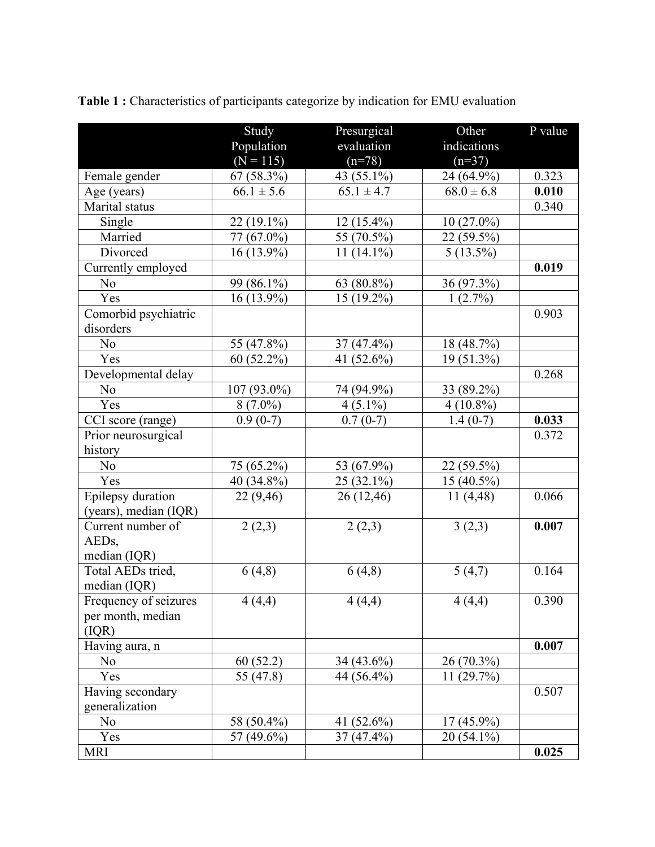|                       | Study                | Presurgical    | Other          | P value |
|-----------------------|----------------------|----------------|----------------|---------|
|                       | Population           | evaluation     | indications    |         |
|                       | $(N = 115)$          | $(n=78)$       | $(n=37)$       |         |
| Female gender         | 67 (58.3%)           | 43 (55.1%)     | 24 (64.9%)     | 0.323   |
| Age (years)           | $66.1 \pm 5.6$       | $65.1 \pm 4.7$ | $68.0 \pm 6.8$ | 0.010   |
| Marital status        |                      |                |                | 0.340   |
| Single                | 22 (19.1%)           | 12 (15.4%)     | $10(27.0\%)$   |         |
| Married               | 77 (67.0%)           | 55 (70.5%)     | 22 (59.5%)     |         |
| Divorced              | 16 (13.9%)           | 11 $(14.1\%)$  | $5(13.5\%)$    |         |
| Currently employed    |                      |                |                | 0.019   |
| N <sub>o</sub>        | 99 (86.1%)           | 63 (80.8%)     | 36 (97.3%)     |         |
| Yes                   | 16 (13.9%)           | 15 (19.2%)     | $1(2.7\%)$     |         |
| Comorbid psychiatric  |                      |                |                | 0.903   |
| disorders             |                      |                |                |         |
| No                    | 55 (47.8%)           | 37 (47.4%)     | 18 (48.7%)     |         |
| Yes                   | 60 (52.2%)           | 41 $(52.6\%)$  | 19 (51.3%)     |         |
| Developmental delay   |                      |                |                | 0.268   |
| N <sub>o</sub>        | 107 (93.0%)          | 74 (94.9%)     | 33 (89.2%)     |         |
| Yes                   | $8(7.0\%)$           | $4(5.1\%)$     | $4(10.8\%)$    |         |
| CCI score (range)     | $0.9(0-7)$           | $0.7(0-7)$     | $1.4(0-7)$     | 0.033   |
| Prior neurosurgical   |                      |                |                | 0.372   |
| history               |                      |                |                |         |
| No                    | 75 (65.2%)           | 53 (67.9%)     | 22 (59.5%)     |         |
| Yes                   | 40 (34.8%)           | 25 (32.1%)     | $15(40.5\%)$   |         |
| Epilepsy duration     | 22(9,46)             | 26(12,46)      | 11(4,48)       | 0.066   |
| (years), median (IQR) |                      |                |                |         |
| Current number of     | 2(2,3)               | 2(2,3)         | 3(2,3)         | 0.007   |
| AED <sub>s</sub> ,    |                      |                |                |         |
| median (IQR)          |                      |                |                |         |
| Total AEDs tried,     | 6(4,8)               | 6(4,8)         | 5(4,7)         | 0.164   |
| median (IQR)          |                      |                |                |         |
| Frequency of seizures | $\overline{4}$ (4,4) | 4(4,4)         | 4(4,4)         | 0.390   |
| per month, median     |                      |                |                |         |
| (IQR)                 |                      |                |                |         |
| Having aura, n        |                      |                |                | 0.007   |
| N <sub>o</sub>        | 60(52.2)             | 34 (43.6%)     | 26 (70.3%)     |         |
| Yes                   | 55 (47.8)            | 44 (56.4%)     | 11(29.7%)      |         |
| Having secondary      |                      |                |                | 0.507   |
| generalization        |                      |                |                |         |
| N <sub>o</sub>        | 58 (50.4%)           | 41 (52.6%)     | $17(45.9\%)$   |         |
| Yes                   | 57 (49.6%)           | $37(47.4\%)$   | $20(54.1\%)$   |         |
| <b>MRI</b>            |                      |                |                | 0.025   |

**Table 1 :** Characteristics of participants categorize by indication for EMU evaluation